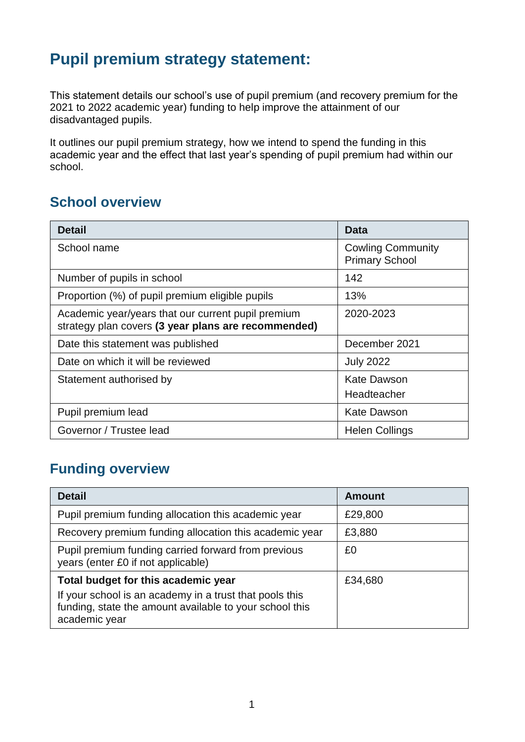## **Pupil premium strategy statement:**

This statement details our school's use of pupil premium (and recovery premium for the 2021 to 2022 academic year) funding to help improve the attainment of our disadvantaged pupils.

It outlines our pupil premium strategy, how we intend to spend the funding in this academic year and the effect that last year's spending of pupil premium had within our school.

#### **School overview**

| <b>Detail</b>                                                                                             | <b>Data</b>                                       |
|-----------------------------------------------------------------------------------------------------------|---------------------------------------------------|
| School name                                                                                               | <b>Cowling Community</b><br><b>Primary School</b> |
| Number of pupils in school                                                                                | 142                                               |
| Proportion (%) of pupil premium eligible pupils                                                           | 13%                                               |
| Academic year/years that our current pupil premium<br>strategy plan covers (3 year plans are recommended) | 2020-2023                                         |
| Date this statement was published                                                                         | December 2021                                     |
| Date on which it will be reviewed                                                                         | <b>July 2022</b>                                  |
| Statement authorised by                                                                                   | Kate Dawson                                       |
|                                                                                                           | Headteacher                                       |
| Pupil premium lead                                                                                        | <b>Kate Dawson</b>                                |
| Governor / Trustee lead                                                                                   | <b>Helen Collings</b>                             |

#### **Funding overview**

| <b>Detail</b>                                                                                                                       | <b>Amount</b> |
|-------------------------------------------------------------------------------------------------------------------------------------|---------------|
| Pupil premium funding allocation this academic year                                                                                 | £29,800       |
| Recovery premium funding allocation this academic year                                                                              | £3,880        |
| Pupil premium funding carried forward from previous<br>years (enter £0 if not applicable)                                           | £0            |
| Total budget for this academic year                                                                                                 | £34,680       |
| If your school is an academy in a trust that pools this<br>funding, state the amount available to your school this<br>academic year |               |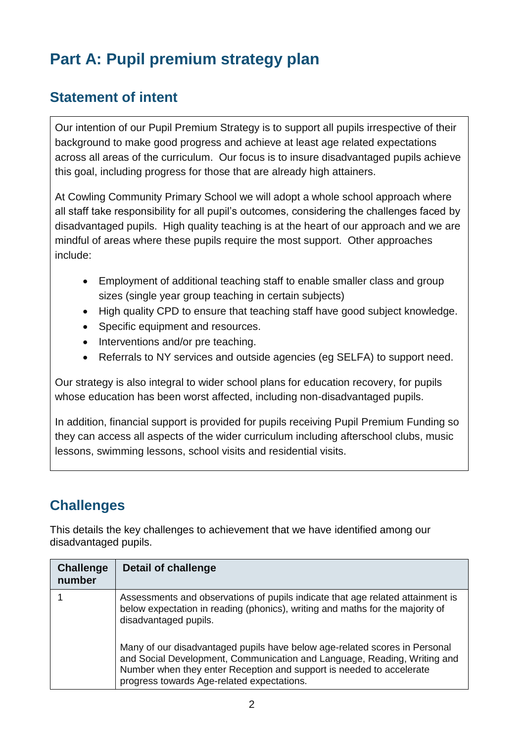# **Part A: Pupil premium strategy plan**

#### **Statement of intent**

Our intention of our Pupil Premium Strategy is to support all pupils irrespective of their background to make good progress and achieve at least age related expectations across all areas of the curriculum. Our focus is to insure disadvantaged pupils achieve this goal, including progress for those that are already high attainers.

At Cowling Community Primary School we will adopt a whole school approach where all staff take responsibility for all pupil's outcomes, considering the challenges faced by disadvantaged pupils. High quality teaching is at the heart of our approach and we are mindful of areas where these pupils require the most support. Other approaches include:

- Employment of additional teaching staff to enable smaller class and group sizes (single year group teaching in certain subjects)
- High quality CPD to ensure that teaching staff have good subject knowledge.
- Specific equipment and resources.
- Interventions and/or pre teaching.
- Referrals to NY services and outside agencies (eg SELFA) to support need.

Our strategy is also integral to wider school plans for education recovery, for pupils whose education has been worst affected, including non-disadvantaged pupils.

In addition, financial support is provided for pupils receiving Pupil Premium Funding so they can access all aspects of the wider curriculum including afterschool clubs, music lessons, swimming lessons, school visits and residential visits.

#### **Challenges**

This details the key challenges to achievement that we have identified among our disadvantaged pupils.

| <b>Challenge</b><br>number | <b>Detail of challenge</b>                                                                                                                                                                                                                                                   |
|----------------------------|------------------------------------------------------------------------------------------------------------------------------------------------------------------------------------------------------------------------------------------------------------------------------|
|                            | Assessments and observations of pupils indicate that age related attainment is<br>below expectation in reading (phonics), writing and maths for the majority of<br>disadvantaged pupils.                                                                                     |
|                            | Many of our disadvantaged pupils have below age-related scores in Personal<br>and Social Development, Communication and Language, Reading, Writing and<br>Number when they enter Reception and support is needed to accelerate<br>progress towards Age-related expectations. |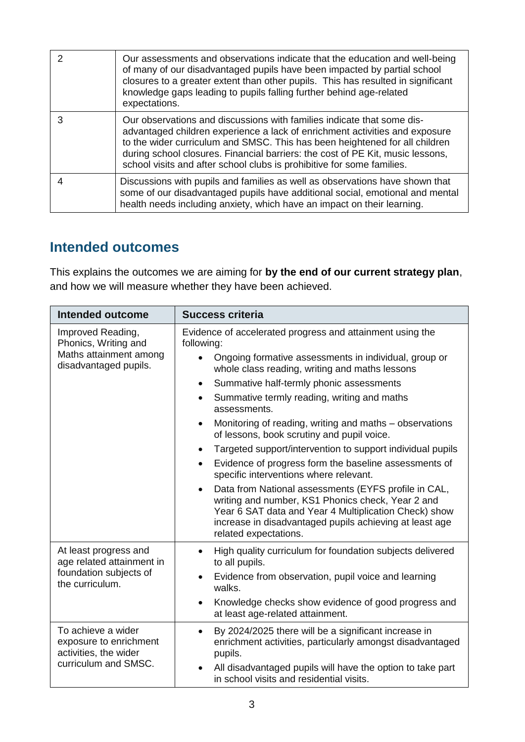|   | Our assessments and observations indicate that the education and well-being<br>of many of our disadvantaged pupils have been impacted by partial school<br>closures to a greater extent than other pupils. This has resulted in significant<br>knowledge gaps leading to pupils falling further behind age-related<br>expectations.                                                              |
|---|--------------------------------------------------------------------------------------------------------------------------------------------------------------------------------------------------------------------------------------------------------------------------------------------------------------------------------------------------------------------------------------------------|
| 3 | Our observations and discussions with families indicate that some dis-<br>advantaged children experience a lack of enrichment activities and exposure<br>to the wider curriculum and SMSC. This has been heightened for all children<br>during school closures. Financial barriers: the cost of PE Kit, music lessons,<br>school visits and after school clubs is prohibitive for some families. |
|   | Discussions with pupils and families as well as observations have shown that<br>some of our disadvantaged pupils have additional social, emotional and mental<br>health needs including anxiety, which have an impact on their learning.                                                                                                                                                         |

### **Intended outcomes**

This explains the outcomes we are aiming for **by the end of our current strategy plan**, and how we will measure whether they have been achieved.

| Intended outcome                                                                                | <b>Success criteria</b>                                                                                                                                                                                                                                                                                                                                                                                                                                                                                                                                                                                                                                                                                                                                                                                                                                     |  |
|-------------------------------------------------------------------------------------------------|-------------------------------------------------------------------------------------------------------------------------------------------------------------------------------------------------------------------------------------------------------------------------------------------------------------------------------------------------------------------------------------------------------------------------------------------------------------------------------------------------------------------------------------------------------------------------------------------------------------------------------------------------------------------------------------------------------------------------------------------------------------------------------------------------------------------------------------------------------------|--|
| Improved Reading,<br>Phonics, Writing and<br>Maths attainment among<br>disadvantaged pupils.    | Evidence of accelerated progress and attainment using the<br>following:<br>Ongoing formative assessments in individual, group or<br>whole class reading, writing and maths lessons<br>Summative half-termly phonic assessments<br>$\bullet$<br>Summative termly reading, writing and maths<br>assessments.<br>Monitoring of reading, writing and maths - observations<br>of lessons, book scrutiny and pupil voice.<br>Targeted support/intervention to support individual pupils<br>Evidence of progress form the baseline assessments of<br>$\bullet$<br>specific interventions where relevant.<br>Data from National assessments (EYFS profile in CAL,<br>writing and number, KS1 Phonics check, Year 2 and<br>Year 6 SAT data and Year 4 Multiplication Check) show<br>increase in disadvantaged pupils achieving at least age<br>related expectations. |  |
| At least progress and<br>age related attainment in<br>foundation subjects of<br>the curriculum. | High quality curriculum for foundation subjects delivered<br>to all pupils.<br>Evidence from observation, pupil voice and learning<br>walks.<br>Knowledge checks show evidence of good progress and<br>at least age-related attainment.                                                                                                                                                                                                                                                                                                                                                                                                                                                                                                                                                                                                                     |  |
| To achieve a wider<br>exposure to enrichment<br>activities, the wider<br>curriculum and SMSC.   | By 2024/2025 there will be a significant increase in<br>$\bullet$<br>enrichment activities, particularly amongst disadvantaged<br>pupils.<br>All disadvantaged pupils will have the option to take part<br>in school visits and residential visits.                                                                                                                                                                                                                                                                                                                                                                                                                                                                                                                                                                                                         |  |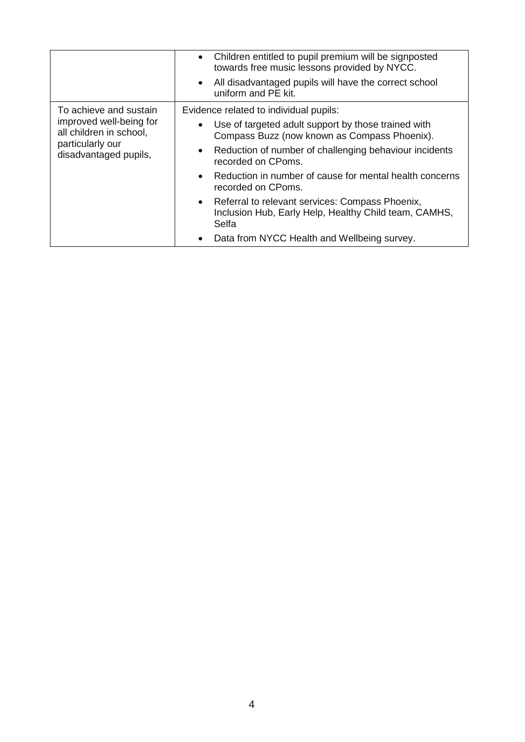|                                                                                                 | Children entitled to pupil premium will be signposted<br>$\bullet$<br>towards free music lessons provided by NYCC.  |
|-------------------------------------------------------------------------------------------------|---------------------------------------------------------------------------------------------------------------------|
|                                                                                                 | All disadvantaged pupils will have the correct school<br>uniform and PE kit.                                        |
| To achieve and sustain                                                                          | Evidence related to individual pupils:                                                                              |
| improved well-being for<br>all children in school,<br>particularly our<br>disadvantaged pupils, | Use of targeted adult support by those trained with<br>$\bullet$<br>Compass Buzz (now known as Compass Phoenix).    |
|                                                                                                 | Reduction of number of challenging behaviour incidents<br>$\bullet$<br>recorded on CPoms.                           |
|                                                                                                 | Reduction in number of cause for mental health concerns<br>$\bullet$<br>recorded on CPoms.                          |
|                                                                                                 | • Referral to relevant services: Compass Phoenix,<br>Inclusion Hub, Early Help, Healthy Child team, CAMHS,<br>Selfa |
|                                                                                                 | Data from NYCC Health and Wellbeing survey.<br>$\bullet$                                                            |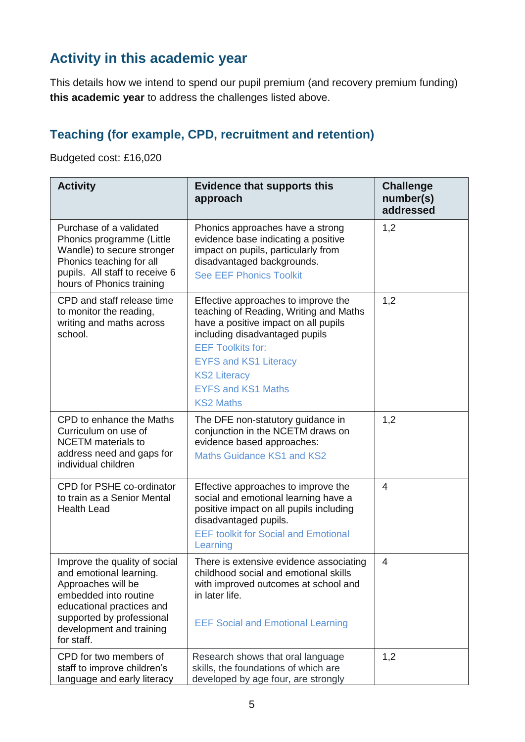## **Activity in this academic year**

This details how we intend to spend our pupil premium (and recovery premium funding) **this academic year** to address the challenges listed above.

#### **Teaching (for example, CPD, recruitment and retention)**

Budgeted cost: £16,020

| <b>Activity</b>                                                                                                                                                                                             | <b>Evidence that supports this</b><br>approach                                                                                                                                                                                                                                              | <b>Challenge</b><br>number(s)<br>addressed |
|-------------------------------------------------------------------------------------------------------------------------------------------------------------------------------------------------------------|---------------------------------------------------------------------------------------------------------------------------------------------------------------------------------------------------------------------------------------------------------------------------------------------|--------------------------------------------|
| Purchase of a validated<br>Phonics programme (Little<br>Wandle) to secure stronger<br>Phonics teaching for all<br>pupils. All staff to receive 6<br>hours of Phonics training                               | Phonics approaches have a strong<br>evidence base indicating a positive<br>impact on pupils, particularly from<br>disadvantaged backgrounds.<br><b>See EEF Phonics Toolkit</b>                                                                                                              | 1,2                                        |
| CPD and staff release time<br>to monitor the reading,<br>writing and maths across<br>school.                                                                                                                | Effective approaches to improve the<br>teaching of Reading, Writing and Maths<br>have a positive impact on all pupils<br>including disadvantaged pupils<br><b>EEF Toolkits for:</b><br><b>EYFS and KS1 Literacy</b><br><b>KS2 Literacy</b><br><b>EYFS and KS1 Maths</b><br><b>KS2 Maths</b> | 1,2                                        |
| CPD to enhance the Maths<br>Curriculum on use of<br><b>NCETM</b> materials to<br>address need and gaps for<br>individual children                                                                           | The DFE non-statutory guidance in<br>conjunction in the NCETM draws on<br>evidence based approaches:<br><b>Maths Guidance KS1 and KS2</b>                                                                                                                                                   | 1,2                                        |
| CPD for PSHE co-ordinator<br>to train as a Senior Mental<br><b>Health Lead</b>                                                                                                                              | Effective approaches to improve the<br>social and emotional learning have a<br>positive impact on all pupils including<br>disadvantaged pupils.<br><b>EEF toolkit for Social and Emotional</b><br>Learning                                                                                  | 4                                          |
| Improve the quality of social<br>and emotional learning.<br>Approaches will be<br>embedded into routine<br>educational practices and<br>supported by professional<br>development and training<br>for staff. | There is extensive evidence associating<br>childhood social and emotional skills<br>with improved outcomes at school and<br>in later life.<br><b>EEF Social and Emotional Learning</b>                                                                                                      | $\overline{4}$                             |
| CPD for two members of<br>staff to improve children's<br>language and early literacy                                                                                                                        | Research shows that oral language<br>skills, the foundations of which are<br>developed by age four, are strongly                                                                                                                                                                            | 1,2                                        |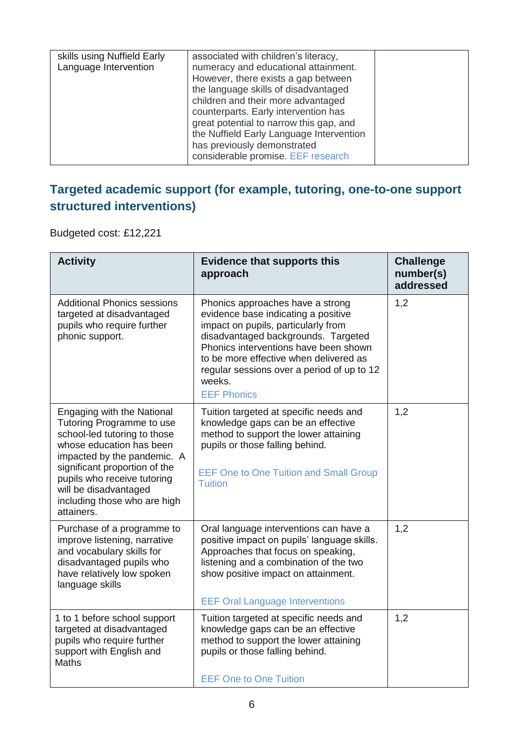| skills using Nuffield Early |
|-----------------------------|
| Language Intervention       |
|                             |
|                             |
|                             |
|                             |
|                             |
|                             |
|                             |
|                             |
|                             |

#### **Targeted academic support (for example, tutoring, one-to-one support structured interventions)**

Budgeted cost: £12,221

| <b>Activity</b>                                                                                                                                                                                                                                                                           | <b>Evidence that supports this</b><br>approach                                                                                                                                                                                                                                                                         | <b>Challenge</b><br>number(s)<br>addressed |
|-------------------------------------------------------------------------------------------------------------------------------------------------------------------------------------------------------------------------------------------------------------------------------------------|------------------------------------------------------------------------------------------------------------------------------------------------------------------------------------------------------------------------------------------------------------------------------------------------------------------------|--------------------------------------------|
| <b>Additional Phonics sessions</b><br>targeted at disadvantaged<br>pupils who require further<br>phonic support.                                                                                                                                                                          | Phonics approaches have a strong<br>evidence base indicating a positive<br>impact on pupils, particularly from<br>disadvantaged backgrounds. Targeted<br>Phonics interventions have been shown<br>to be more effective when delivered as<br>regular sessions over a period of up to 12<br>weeks.<br><b>EEF Phonics</b> | 1,2                                        |
| Engaging with the National<br>Tutoring Programme to use<br>school-led tutoring to those<br>whose education has been<br>impacted by the pandemic. A<br>significant proportion of the<br>pupils who receive tutoring<br>will be disadvantaged<br>including those who are high<br>attainers. | Tuition targeted at specific needs and<br>knowledge gaps can be an effective<br>method to support the lower attaining<br>pupils or those falling behind.<br><b>EEF One to One Tuition and Small Group</b><br><b>Tuition</b>                                                                                            | 1,2                                        |
| Purchase of a programme to<br>improve listening, narrative<br>and vocabulary skills for<br>disadvantaged pupils who<br>have relatively low spoken<br>language skills                                                                                                                      | Oral language interventions can have a<br>positive impact on pupils' language skills.<br>Approaches that focus on speaking,<br>listening and a combination of the two<br>show positive impact on attainment.<br><b>EEF Oral Language Interventions</b>                                                                 | 1,2                                        |
| 1 to 1 before school support<br>targeted at disadvantaged<br>pupils who require further<br>support with English and<br><b>Maths</b>                                                                                                                                                       | Tuition targeted at specific needs and<br>knowledge gaps can be an effective<br>method to support the lower attaining<br>pupils or those falling behind.<br><b>EEF One to One Tuition</b>                                                                                                                              | 1,2                                        |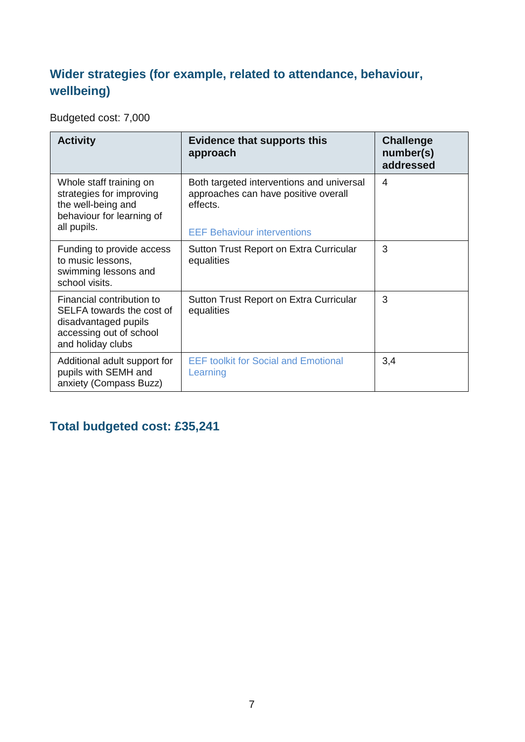#### **Wider strategies (for example, related to attendance, behaviour, wellbeing)**

Budgeted cost: 7,000

| <b>Activity</b>                                                                                                                | <b>Evidence that supports this</b><br>approach                                                                                      | <b>Challenge</b><br>number(s)<br>addressed |
|--------------------------------------------------------------------------------------------------------------------------------|-------------------------------------------------------------------------------------------------------------------------------------|--------------------------------------------|
| Whole staff training on<br>strategies for improving<br>the well-being and<br>behaviour for learning of<br>all pupils.          | Both targeted interventions and universal<br>approaches can have positive overall<br>effects.<br><b>EEF Behaviour interventions</b> | 4                                          |
| Funding to provide access<br>to music lessons,<br>swimming lessons and<br>school visits.                                       | Sutton Trust Report on Extra Curricular<br>equalities                                                                               | 3                                          |
| Financial contribution to<br>SELFA towards the cost of<br>disadvantaged pupils<br>accessing out of school<br>and holiday clubs | Sutton Trust Report on Extra Curricular<br>equalities                                                                               | 3                                          |
| Additional adult support for<br>pupils with SEMH and<br>anxiety (Compass Buzz)                                                 | <b>EEF toolkit for Social and Emotional</b><br>Learning                                                                             | 3,4                                        |

#### **Total budgeted cost: £35,241**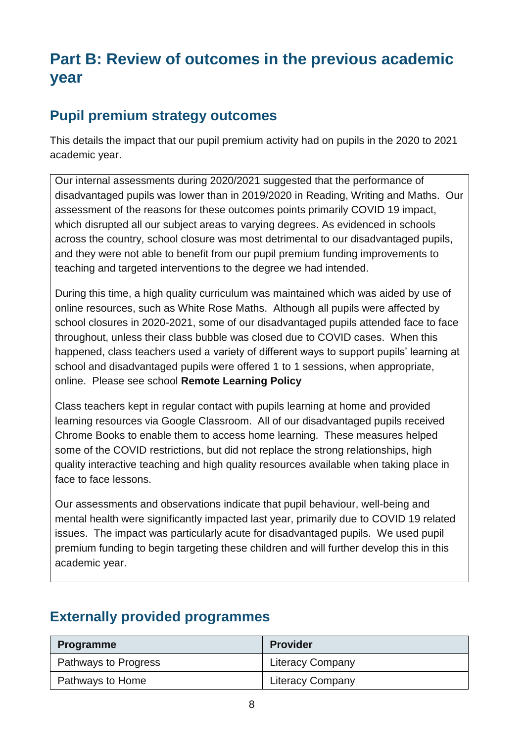# **Part B: Review of outcomes in the previous academic year**

#### **Pupil premium strategy outcomes**

This details the impact that our pupil premium activity had on pupils in the 2020 to 2021 academic year.

Our internal assessments during 2020/2021 suggested that the performance of disadvantaged pupils was lower than in 2019/2020 in Reading, Writing and Maths. Our assessment of the reasons for these outcomes points primarily COVID 19 impact, which disrupted all our subject areas to varying degrees. As evidenced in schools across the country, school closure was most detrimental to our disadvantaged pupils, and they were not able to benefit from our pupil premium funding improvements to teaching and targeted interventions to the degree we had intended.

During this time, a high quality curriculum was maintained which was aided by use of online resources, such as White Rose Maths. Although all pupils were affected by school closures in 2020-2021, some of our disadvantaged pupils attended face to face throughout, unless their class bubble was closed due to COVID cases. When this happened, class teachers used a variety of different ways to support pupils' learning at school and disadvantaged pupils were offered 1 to 1 sessions, when appropriate, online. Please see school **Remote Learning Policy**

Class teachers kept in regular contact with pupils learning at home and provided learning resources via Google Classroom. All of our disadvantaged pupils received Chrome Books to enable them to access home learning. These measures helped some of the COVID restrictions, but did not replace the strong relationships, high quality interactive teaching and high quality resources available when taking place in face to face lessons.

Our assessments and observations indicate that pupil behaviour, well-being and mental health were significantly impacted last year, primarily due to COVID 19 related issues. The impact was particularly acute for disadvantaged pupils. We used pupil premium funding to begin targeting these children and will further develop this in this academic year.

#### **Externally provided programmes**

| <b>Programme</b>     | <b>Provider</b>         |
|----------------------|-------------------------|
| Pathways to Progress | <b>Literacy Company</b> |
| Pathways to Home     | <b>Literacy Company</b> |